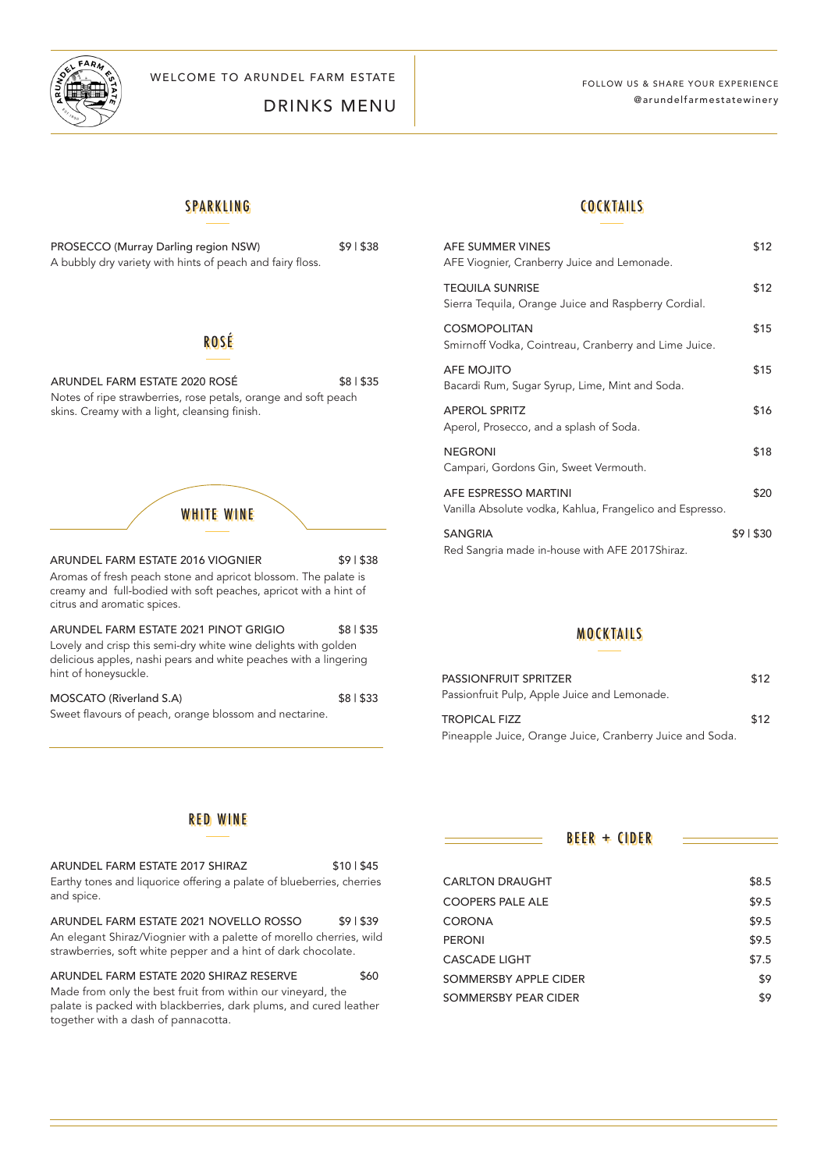

WELCOME TO ARUNDEL FARM ESTATE FOLLOW US & SHARE YOUR EXPERIENCE

DRINKS MENU

## @arundelfarmestatewinery

#### SPARKLING

| PROSECCO (Murray Darling region NSW)                      |  |  |
|-----------------------------------------------------------|--|--|
| A bubbly dry variety with hints of peach and fairy floss. |  |  |

### ROSÉ

ARUNDEL FARM ESTATE 2020 ROSÉ \$8 | \$35 Notes of ripe strawberries, rose petals, orange and soft peach skins. Creamy with a light, cleansing finish.

# WHITE WINE

ARUNDEL FARM ESTATE 2016 VIOGNIER \$9 | \$38 Aromas of fresh peach stone and apricot blossom. The palate is creamy and full-bodied with soft peaches, apricot with a hint of citrus and aromatic spices.

ARUNDEL FARM ESTATE 2021 PINOT GRIGIO \$8 | \$35 Lovely and crisp this semi-dry white wine delights with golden delicious apples, nashi pears and white peaches with a lingering hint of honeysuckle.

MOSCATO (Riverland S.A) \$8 | \$33 Sweet flavours of peach, orange blossom and nectarine.

#### **COCKTAILS**

| AFE SUMMER VINES<br>AFE Viognier, Cranberry Juice and Lemonade.                  | \$12     |
|----------------------------------------------------------------------------------|----------|
| <b>TEQUILA SUNRISE</b><br>Sierra Tequila, Orange Juice and Raspberry Cordial.    | \$12     |
| <b>COSMOPOLITAN</b><br>Smirnoff Vodka, Cointreau, Cranberry and Lime Juice.      | \$15     |
| AFE MOJITO<br>Bacardi Rum, Sugar Syrup, Lime, Mint and Soda.                     | \$15     |
| <b>APEROL SPRITZ</b><br>Aperol, Prosecco, and a splash of Soda.                  | \$16     |
| <b>NEGRONI</b><br>Campari, Gordons Gin, Sweet Vermouth.                          | \$18     |
| AFE ESPRESSO MARTINI<br>Vanilla Absolute vodka, Kahlua, Frangelico and Espresso. | \$20     |
| <b>SANGRIA</b><br>Red Sangria made in-house with AFE 2017 Shiraz.                | \$91\$30 |

#### MOCKTAILS

| <b>PASSIONFRUIT SPRITZER</b><br>Passionfruit Pulp, Apple Juice and Lemonade. | \$12 |
|------------------------------------------------------------------------------|------|
| <b>TROPICAL FIZZ</b>                                                         | \$12 |
| Pineapple Juice, Orange Juice, Cranberry Juice and Soda.                     |      |

#### RED WINE

| ARUNDEL FARM ESTATE 2017 SHIRAZ                                       | \$10   \$45 |
|-----------------------------------------------------------------------|-------------|
| Earthy tones and liquorice offering a palate of blueberries, cherries |             |
| and spice.                                                            |             |

ARUNDEL FARM ESTATE 2021 NOVELLO ROSSO \$91\$39 An elegant Shiraz/Viognier with a palette of morello cherries, wild strawberries, soft white pepper and a hint of dark chocolate.

ARUNDEL FARM ESTATE 2020 SHIRAZ RESERVE \$60 Made from only the best fruit from within our vineyard, the palate is packed with blackberries, dark plums, and cured leather together with a dash of pannacotta.

 $BEER + CIDER$ 

| <b>CARLTON DRAUGHT</b>  | \$8.5 |
|-------------------------|-------|
| <b>COOPERS PALE ALE</b> | \$9.5 |
| <b>CORONA</b>           | \$9.5 |
| <b>PERONI</b>           | \$9.5 |
| <b>CASCADE LIGHT</b>    | \$7.5 |
| SOMMERSBY APPLE CIDER   | \$9   |
| SOMMERSBY PEAR CIDER    | \$9   |